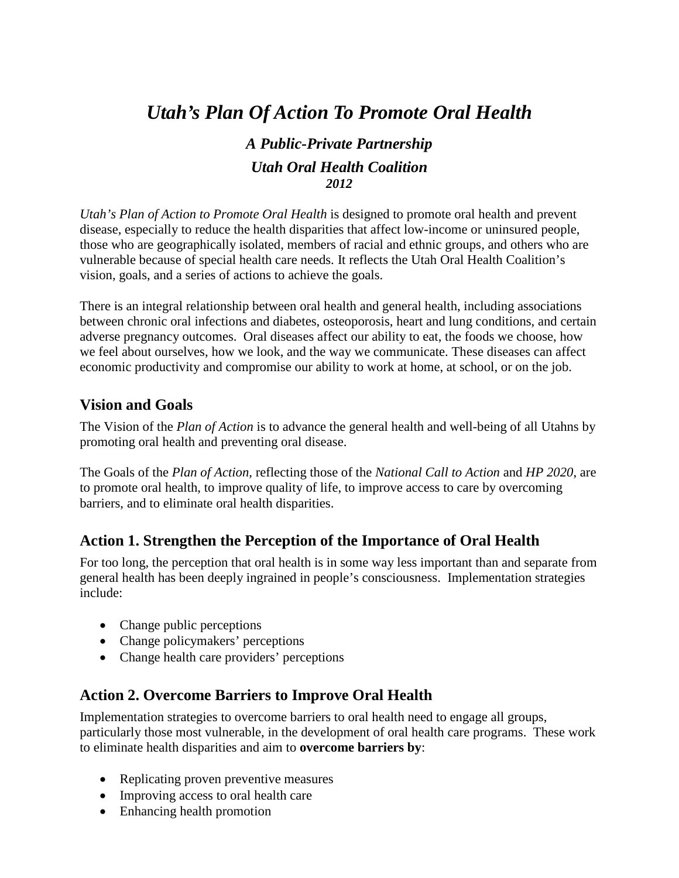# *Utah's Plan Of Action To Promote Oral Health*

## *A Public-Private Partnership Utah Oral Health Coalition 2012*

*Utah's Plan of Action to Promote Oral Health* is designed to promote oral health and prevent disease, especially to reduce the health disparities that affect low-income or uninsured people, those who are geographically isolated, members of racial and ethnic groups, and others who are vulnerable because of special health care needs. It reflects the Utah Oral Health Coalition's vision, goals, and a series of actions to achieve the goals.

There is an integral relationship between oral health and general health, including associations between chronic oral infections and diabetes, osteoporosis, heart and lung conditions, and certain adverse pregnancy outcomes. Oral diseases affect our ability to eat, the foods we choose, how we feel about ourselves, how we look, and the way we communicate. These diseases can affect economic productivity and compromise our ability to work at home, at school, or on the job.

#### **Vision and Goals**

The Vision of the *Plan of Action* is to advance the general health and well-being of all Utahns by promoting oral health and preventing oral disease.

The Goals of the *Plan of Action,* reflecting those of the *National Call to Action* and *HP 2020*, are to promote oral health, to improve quality of life, to improve access to care by overcoming barriers, and to eliminate oral health disparities.

#### **Action 1. Strengthen the Perception of the Importance of Oral Health**

For too long, the perception that oral health is in some way less important than and separate from general health has been deeply ingrained in people's consciousness. Implementation strategies include:

- Change public perceptions
- Change policymakers' perceptions
- Change health care providers' perceptions

#### **Action 2. Overcome Barriers to Improve Oral Health**

Implementation strategies to overcome barriers to oral health need to engage all groups, particularly those most vulnerable, in the development of oral health care programs. These work to eliminate health disparities and aim to **overcome barriers by**:

- Replicating proven preventive measures
- Improving access to oral health care
- Enhancing health promotion